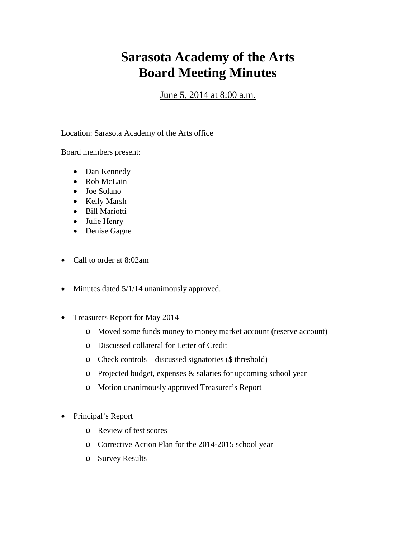## **Sarasota Academy of the Arts Board Meeting Minutes**

June 5, 2014 at 8:00 a.m.

Location: Sarasota Academy of the Arts office

Board members present:

- Dan Kennedy
- Rob McLain
- Joe Solano
- Kelly Marsh
- Bill Mariotti
- Julie Henry
- Denise Gagne
- Call to order at 8:02am
- Minutes dated 5/1/14 unanimously approved.
- Treasurers Report for May 2014
	- o Moved some funds money to money market account (reserve account)
	- o Discussed collateral for Letter of Credit
	- o Check controls discussed signatories (\$ threshold)
	- o Projected budget, expenses & salaries for upcoming school year
	- o Motion unanimously approved Treasurer's Report
- Principal's Report
	- o Review of test scores
	- o Corrective Action Plan for the 2014-2015 school year
	- o Survey Results